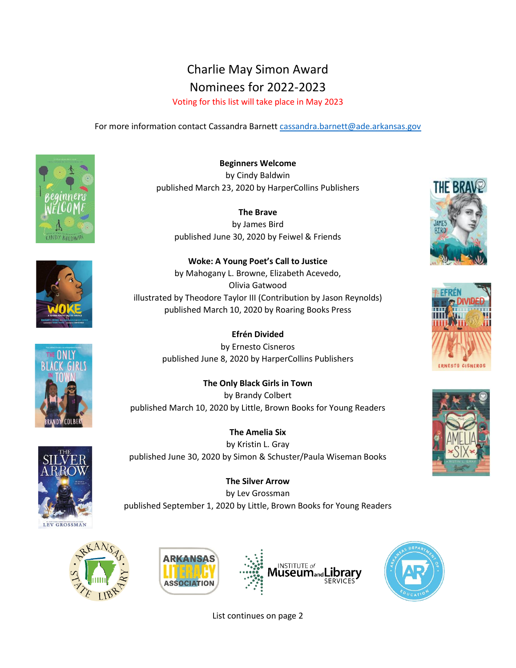## Charlie May Simon Award Nominees for 2022-2023

Voting for this list will take place in May 2023

For more information contact Cassandra Barnett [cassandra.barnett@ade.arkansas.gov](mailto:cassandra.barnett@ade.arkansas.gov)













**The Brave** by James Bird published June 30, 2020 by Feiwel & Friends

**Woke: A Young Poet's Call to Justice** by Mahogany L. Browne, Elizabeth Acevedo, Olivia Gatwood illustrated by Theodore Taylor III (Contribution by Jason Reynolds) published March 10, 2020 by Roaring Books Press

> **Efrén Divided** by Ernesto Cisneros published June 8, 2020 by HarperCollins Publishers

**The Only Black Girls in Town** by Brandy Colbert published March 10, 2020 by Little, Brown Books for Young Readers

**The Amelia Six** by Kristin L. Gray published June 30, 2020 by Simon & Schuster/Paula Wiseman Books

**The Silver Arrow** by Lev Grossman published September 1, 2020 by Little, Brown Books for Young Readers